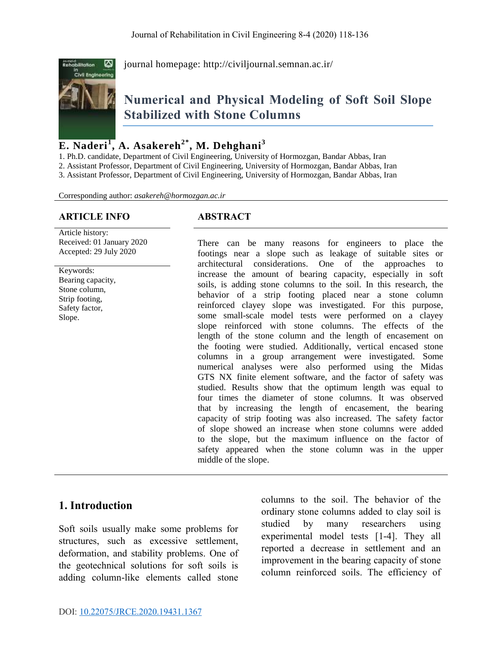

journal homepage:<http://civiljournal.semnan.ac.ir/>

# **Numerical and Physical Modeling of Soft Soil Slope Stabilized with Stone Columns**

# **E. Naderi<sup>1</sup> , A. Asakereh2\* , M. Dehghani<sup>3</sup>**

1. Ph.D. candidate, Department of Civil Engineering, University of Hormozgan, Bandar Abbas, Iran 2. Assistant Professor, Department of Civil Engineering, University of Hormozgan, Bandar Abbas, Iran

3. Assistant Professor, Department of Civil Engineering, University of Hormozgan, Bandar Abbas, Iran

Corresponding author: *asakereh@hormozgan.ac.ir*

#### **ARTICLE INFO ABSTRACT**

Article history: Received: 01 January 2020 Accepted: 29 July 2020

Keywords: Bearing capacity, Stone column, Strip footing, Safety factor, Slope.

There can be many reasons for engineers to place the footings near a slope such as leakage of suitable sites or architectural considerations. One of the approaches to increase the amount of bearing capacity, especially in soft soils, is adding stone columns to the soil. In this research, the behavior of a strip footing placed near a stone column reinforced clayey slope was investigated. For this purpose, some small-scale model tests were performed on a clayey slope reinforced with stone columns. The effects of the length of the stone column and the length of encasement on the footing were studied. Additionally, vertical encased stone columns in a group arrangement were investigated. Some numerical analyses were also performed using the Midas GTS NX finite element software, and the factor of safety was studied. Results show that the optimum length was equal to four times the diameter of stone columns. It was observed that by increasing the length of encasement, the bearing capacity of strip footing was also increased. The safety factor of slope showed an increase when stone columns were added to the slope, but the maximum influence on the factor of safety appeared when the stone column was in the upper middle of the slope.

# **1. Introduction**

Soft soils usually make some problems for structures, such as excessive settlement, deformation, and stability problems. One of the geotechnical solutions for soft soils is adding column-like elements called stone columns to the soil. The behavior of the ordinary stone columns added to clay soil is studied by many researchers using experimental model tests [1-4]. They all reported a decrease in settlement and an improvement in the bearing capacity of stone column reinforced soils. The efficiency of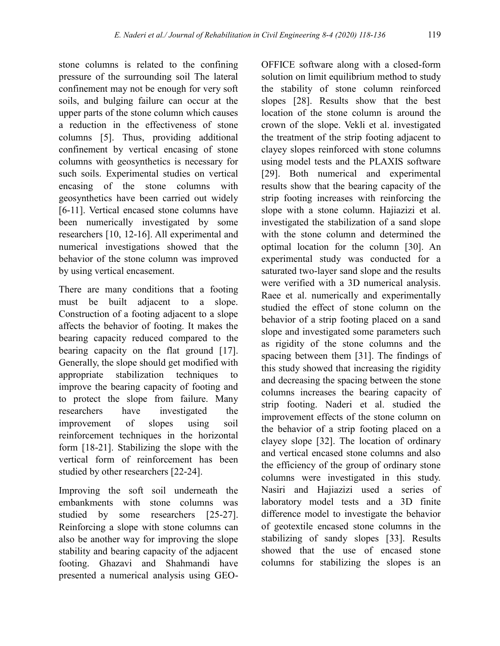stone columns is related to the confining pressure of the surrounding soil The lateral confinement may not be enough for very soft soils, and bulging failure can occur at the upper parts of the stone column which causes a reduction in the effectiveness of stone columns [5]. Thus, providing additional confinement by vertical encasing of stone columns with geosynthetics is necessary for such soils. Experimental studies on vertical encasing of the stone columns with geosynthetics have been carried out widely [6-11]. Vertical encased stone columns have been numerically investigated by some researchers [10, 12-16]. All experimental and numerical investigations showed that the behavior of the stone column was improved by using vertical encasement.

There are many conditions that a footing must be built adjacent to a slope. Construction of a footing adjacent to a slope affects the behavior of footing. It makes the bearing capacity reduced compared to the bearing capacity on the flat ground [17]. Generally, the slope should get modified with appropriate stabilization techniques to improve the bearing capacity of footing and to protect the slope from failure. Many researchers have investigated the improvement of slopes using soil reinforcement techniques in the horizontal form [18-21]. Stabilizing the slope with the vertical form of reinforcement has been studied by other researchers [22-24].

Improving the soft soil underneath the embankments with stone columns was studied by some researchers [25-27]. Reinforcing a slope with stone columns can also be another way for improving the slope stability and bearing capacity of the adjacent footing. Ghazavi and Shahmandi have presented a numerical analysis using GEO-

OFFICE software along with a closed-form solution on limit equilibrium method to study the stability of stone column reinforced slopes [28]. Results show that the best location of the stone column is around the crown of the slope. Vekli et al. investigated the treatment of the strip footing adjacent to clayey slopes reinforced with stone columns using model tests and the PLAXIS software [29]. Both numerical and experimental results show that the bearing capacity of the strip footing increases with reinforcing the slope with a stone column. Hajiazizi et al. investigated the stabilization of a sand slope with the stone column and determined the optimal location for the column [30]. An experimental study was conducted for a saturated two-layer sand slope and the results were verified with a 3D numerical analysis. Raee et al. numerically and experimentally studied the effect of stone column on the behavior of a strip footing placed on a sand slope and investigated some parameters such as rigidity of the stone columns and the spacing between them [31]. The findings of this study showed that increasing the rigidity and decreasing the spacing between the stone columns increases the bearing capacity of strip footing. Naderi et al. studied the improvement effects of the stone column on the behavior of a strip footing placed on a clayey slope [32]. The location of ordinary and vertical encased stone columns and also the efficiency of the group of ordinary stone columns were investigated in this study. Nasiri and Hajiazizi used a series of laboratory model tests and a 3D finite difference model to investigate the behavior of geotextile encased stone columns in the stabilizing of sandy slopes [33]. Results showed that the use of encased stone columns for stabilizing the slopes is an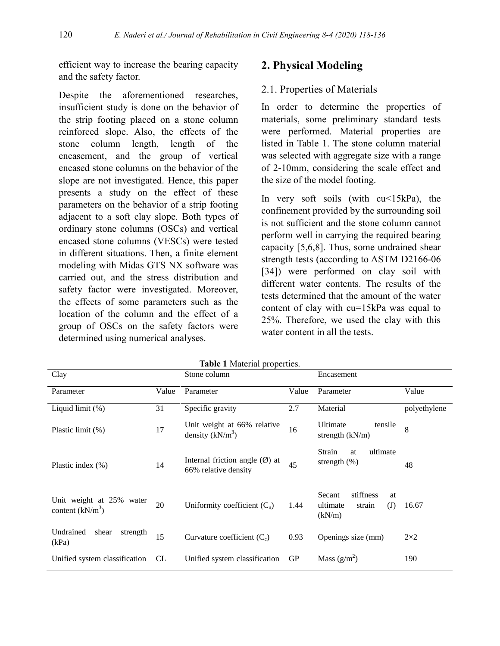efficient way to increase the bearing capacity and the safety factor.

Despite the aforementioned researches, insufficient study is done on the behavior of the strip footing placed on a stone column reinforced slope. Also, the effects of the stone column length, length of the encasement, and the group of vertical encased stone columns on the behavior of the slope are not investigated. Hence, this paper presents a study on the effect of these parameters on the behavior of a strip footing adjacent to a soft clay slope. Both types of ordinary stone columns (OSCs) and vertical encased stone columns (VESCs) were tested in different situations. Then, a finite element modeling with Midas GTS NX software was carried out, and the stress distribution and safety factor were investigated. Moreover, the effects of some parameters such as the location of the column and the effect of a group of OSCs on the safety factors were determined using numerical analyses.

#### **2. Physical Modeling**

#### 2.1. Properties of Materials

In order to determine the properties of materials, some preliminary standard tests were performed. Material properties are listed in Table 1. The stone column material was selected with aggregate size with a range of 2-10mm, considering the scale effect and the size of the model footing.

In very soft soils (with cu<15kPa), the confinement provided by the surrounding soil is not sufficient and the stone column cannot perform well in carrying the required bearing capacity [5,6,8]. Thus, some undrained shear strength tests (according to ASTM D2166-06 [34]) were performed on clay soil with different water contents. The results of the tests determined that the amount of the water content of clay with cu=15kPa was equal to 25%. Therefore, we used the clay with this water content in all the tests.

| <b>Table 1</b> Material properties.            |           |                                                                  |           |                                                                  |              |  |  |  |
|------------------------------------------------|-----------|------------------------------------------------------------------|-----------|------------------------------------------------------------------|--------------|--|--|--|
| Clay                                           |           | Stone column                                                     |           | Encasement                                                       |              |  |  |  |
| Parameter                                      | Value     | Parameter                                                        | Value     | Parameter                                                        | Value        |  |  |  |
| Liquid limit $(\%)$                            | 31        | Specific gravity                                                 | 2.7       | Material                                                         | polyethylene |  |  |  |
| Plastic limit (%)                              | 17        | Unit weight at 66% relative<br>density $(kN/m^3)$                | 16        | Ultimate<br>tensile<br>strength (kN/m)                           | 8            |  |  |  |
| Plastic index $(\% )$                          | 14        | Internal friction angle $(\emptyset)$ at<br>66% relative density | 45        | ultimate<br>Strain<br>at<br>strength $(\%)$                      | 48           |  |  |  |
| Unit weight at 25% water<br>content $(kN/m^3)$ | 20        | Uniformity coefficient $(C_u)$                                   | 1.44      | stiffness<br>Secant<br>at<br>ultimate<br>(J)<br>strain<br>(kN/m) | 16.67        |  |  |  |
| Undrained<br>strength<br>shear<br>(kPa)        | 15        | Curvature coefficient $(C_c)$                                    | 0.93      | Openings size (mm)                                               | $2\times2$   |  |  |  |
| Unified system classification                  | <b>CL</b> | Unified system classification                                    | <b>GP</b> | Mass $(g/m^2)$                                                   | 190          |  |  |  |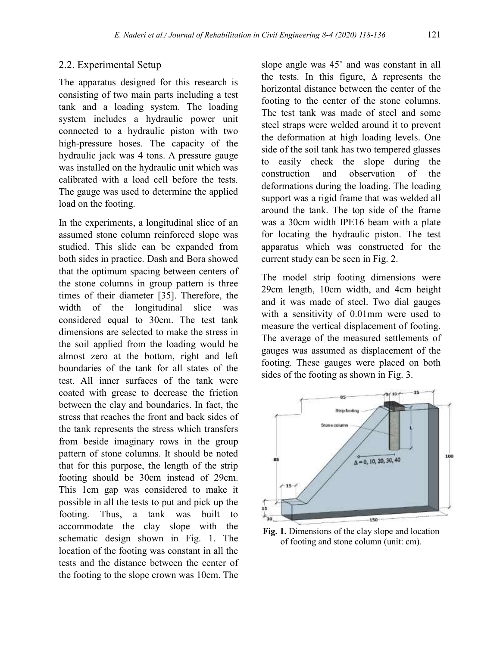#### 2.2. Experimental Setup

The apparatus designed for this research is consisting of two main parts including a test tank and a loading system. The loading system includes a hydraulic power unit connected to a hydraulic piston with two high-pressure hoses. The capacity of the hydraulic jack was 4 tons. A pressure gauge was installed on the hydraulic unit which was calibrated with a load cell before the tests. The gauge was used to determine the applied load on the footing.

In the experiments, a longitudinal slice of an assumed stone column reinforced slope was studied. This slide can be expanded from both sides in practice. Dash and Bora showed that the optimum spacing between centers of the stone columns in group pattern is three times of their diameter [35]. Therefore, the width of the longitudinal slice was considered equal to 30cm. The test tank dimensions are selected to make the stress in the soil applied from the loading would be almost zero at the bottom, right and left boundaries of the tank for all states of the test. All inner surfaces of the tank were coated with grease to decrease the friction between the clay and boundaries. In fact, the stress that reaches the front and back sides of the tank represents the stress which transfers from beside imaginary rows in the group pattern of stone columns. It should be noted that for this purpose, the length of the strip footing should be 30cm instead of 29cm. This 1cm gap was considered to make it possible in all the tests to put and pick up the footing. Thus, a tank was built to accommodate the clay slope with the schematic design shown in Fig. 1. The location of the footing was constant in all the tests and the distance between the center of the footing to the slope crown was 10cm. The

slope angle was 45˚ and was constant in all the tests. In this figure,  $\Delta$  represents the horizontal distance between the center of the footing to the center of the stone columns. The test tank was made of steel and some steel straps were welded around it to prevent the deformation at high loading levels. One side of the soil tank has two tempered glasses to easily check the slope during the construction and observation of the deformations during the loading. The loading support was a rigid frame that was welded all around the tank. The top side of the frame was a 30cm width IPE16 beam with a plate for locating the hydraulic piston. The test apparatus which was constructed for the current study can be seen in Fig. 2.

The model strip footing dimensions were 29cm length, 10cm width, and 4cm height and it was made of steel. Two dial gauges with a sensitivity of 0.01mm were used to measure the vertical displacement of footing. The average of the measured settlements of gauges was assumed as displacement of the footing. These gauges were placed on both sides of the footing as shown in Fig. 3.



**Fig. 1.** Dimensions of the clay slope and location of footing and stone column (unit: cm).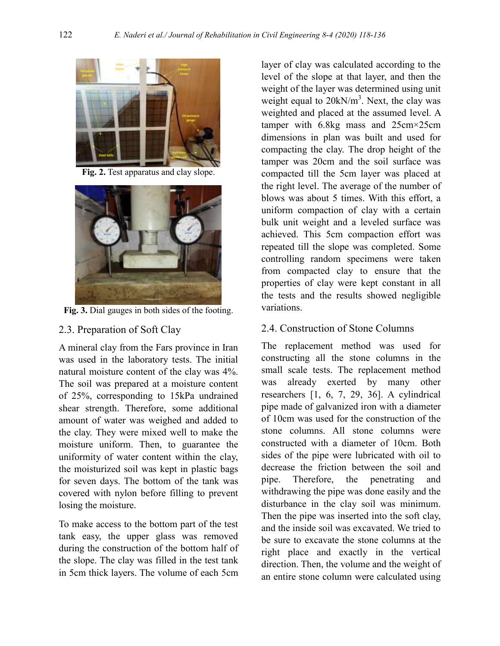

**Fig. 2.** Test apparatus and clay slope.



**Fig. 3.** Dial gauges in both sides of the footing.

## 2.3. Preparation of Soft Clay

A mineral clay from the Fars province in Iran was used in the laboratory tests. The initial natural moisture content of the clay was 4%. The soil was prepared at a moisture content of 25%, corresponding to 15kPa undrained shear strength. Therefore, some additional amount of water was weighed and added to the clay. They were mixed well to make the moisture uniform. Then, to guarantee the uniformity of water content within the clay, the moisturized soil was kept in plastic bags for seven days. The bottom of the tank was covered with nylon before filling to prevent losing the moisture.

To make access to the bottom part of the test tank easy, the upper glass was removed during the construction of the bottom half of the slope. The clay was filled in the test tank in 5cm thick layers. The volume of each 5cm

layer of clay was calculated according to the level of the slope at that layer, and then the weight of the layer was determined using unit weight equal to  $20 \text{kN/m}^3$ . Next, the clay was weighted and placed at the assumed level. A tamper with 6.8kg mass and 25cm×25cm dimensions in plan was built and used for compacting the clay. The drop height of the tamper was 20cm and the soil surface was compacted till the 5cm layer was placed at the right level. The average of the number of blows was about 5 times. With this effort, a uniform compaction of clay with a certain bulk unit weight and a leveled surface was achieved. This 5cm compaction effort was repeated till the slope was completed. Some controlling random specimens were taken from compacted clay to ensure that the properties of clay were kept constant in all the tests and the results showed negligible variations.

# 2.4. Construction of Stone Columns

The replacement method was used for constructing all the stone columns in the small scale tests. The replacement method was already exerted by many other researchers [1, 6, 7, 29, 36]. A cylindrical pipe made of galvanized iron with a diameter of 10cm was used for the construction of the stone columns. All stone columns were constructed with a diameter of 10cm. Both sides of the pipe were lubricated with oil to decrease the friction between the soil and pipe. Therefore, the penetrating and withdrawing the pipe was done easily and the disturbance in the clay soil was minimum. Then the pipe was inserted into the soft clay, and the inside soil was excavated. We tried to be sure to excavate the stone columns at the right place and exactly in the vertical direction. Then, the volume and the weight of an entire stone column were calculated using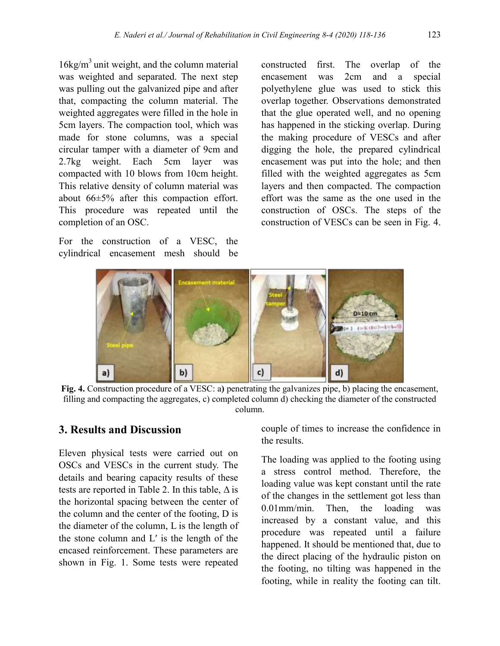$16\text{kg/m}^3$  unit weight, and the column material was weighted and separated. The next step was pulling out the galvanized pipe and after that, compacting the column material. The weighted aggregates were filled in the hole in 5cm layers. The compaction tool, which was made for stone columns, was a special circular tamper with a diameter of 9cm and 2.7kg weight. Each 5cm layer was compacted with 10 blows from 10cm height. This relative density of column material was about 66±5% after this compaction effort. This procedure was repeated until the completion of an OSC.

For the construction of a VESC, the cylindrical encasement mesh should be

constructed first. The overlap of the encasement was 2cm and a special polyethylene glue was used to stick this overlap together. Observations demonstrated that the glue operated well, and no opening has happened in the sticking overlap. During the making procedure of VESCs and after digging the hole, the prepared cylindrical encasement was put into the hole; and then filled with the weighted aggregates as 5cm layers and then compacted. The compaction effort was the same as the one used in the construction of OSCs. The steps of the construction of VESCs can be seen in Fig. 4.



**Fig. 4.** Construction procedure of a VESC: a**)** penetrating the galvanizes pipe, b) placing the encasement, filling and compacting the aggregates, c) completed column d) checking the diameter of the constructed column.

#### **3. Results and Discussion**

Eleven physical tests were carried out on OSCs and VESCs in the current study. The details and bearing capacity results of these tests are reported in Table 2. In this table,  $\Delta$  is the horizontal spacing between the center of the column and the center of the footing, D is the diameter of the column, L is the length of the stone column and  $L'$  is the length of the encased reinforcement. These parameters are shown in Fig. 1. Some tests were repeated couple of times to increase the confidence in the results.

The loading was applied to the footing using a stress control method. Therefore, the loading value was kept constant until the rate of the changes in the settlement got less than 0.01mm/min. Then, the loading was increased by a constant value, and this procedure was repeated until a failure happened. It should be mentioned that, due to the direct placing of the hydraulic piston on the footing, no tilting was happened in the footing, while in reality the footing can tilt.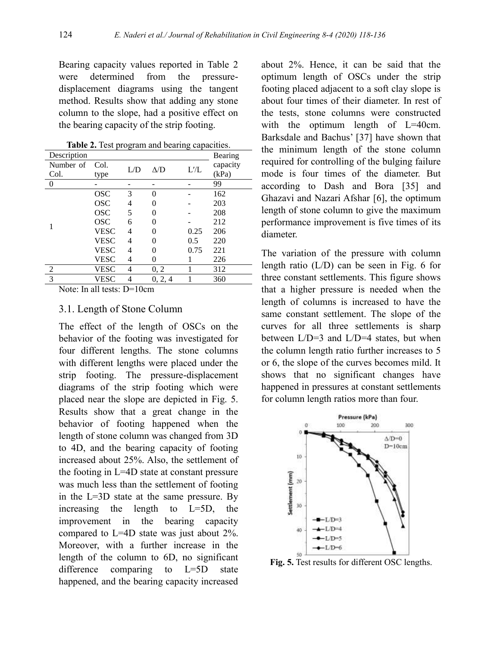Bearing capacity values reported in Table 2 were determined from the pressuredisplacement diagrams using the tangent method. Results show that adding any stone column to the slope, had a positive effect on the bearing capacity of the strip footing.

| <b>Table 2.</b> Test program and bearing capacities. |             |     |            |                |          |  |
|------------------------------------------------------|-------------|-----|------------|----------------|----------|--|
| Description                                          |             |     |            |                | Bearing  |  |
| Number of                                            | Col.        | L/D | $\Delta/D$ | $L^{\prime}/L$ | capacity |  |
| Col.                                                 | type        |     |            |                | (kPa)    |  |
| $\theta$                                             |             |     |            |                | 99       |  |
|                                                      | <b>OSC</b>  | 3   | 0          |                | 162      |  |
|                                                      | <b>OSC</b>  | 4   | 0          |                | 203      |  |
|                                                      | <b>OSC</b>  | 5   | 0          |                | 208      |  |
| 1                                                    | <b>OSC</b>  | 6   | $\Omega$   |                | 212      |  |
|                                                      | <b>VESC</b> | 4   | $\Omega$   | 0.25           | 206      |  |
|                                                      | VESC        | 4   | $\theta$   | 0.5            | 220      |  |
|                                                      | VESC        | 4   | 0          | 0.75           | 221      |  |
|                                                      | VESC        | 4   | $\theta$   |                | 226      |  |
| $\overline{2}$                                       | VESC        | 4   | 0, 2       |                | 312      |  |
| $\overline{3}$                                       | VESC        |     | 0, 2, 4    |                | 360      |  |

**Table 2.** Test program and bearing capacities.

Note: In all tests: D=10cm

#### 3.1. Length of Stone Column

The effect of the length of OSCs on the behavior of the footing was investigated for four different lengths. The stone columns with different lengths were placed under the strip footing. The pressure-displacement diagrams of the strip footing which were placed near the slope are depicted in Fig. 5. Results show that a great change in the behavior of footing happened when the length of stone column was changed from 3D to 4D, and the bearing capacity of footing increased about 25%. Also, the settlement of the footing in L=4D state at constant pressure was much less than the settlement of footing in the L=3D state at the same pressure. By increasing the length to L=5D, the improvement in the bearing capacity compared to L=4D state was just about 2%. Moreover, with a further increase in the length of the column to 6D, no significant difference comparing to L=5D state happened, and the bearing capacity increased

about 2%. Hence, it can be said that the optimum length of OSCs under the strip footing placed adjacent to a soft clay slope is about four times of their diameter. In rest of the tests, stone columns were constructed with the optimum length of L=40cm. Barksdale and Bachus' [37] have shown that the minimum length of the stone column required for controlling of the bulging failure mode is four times of the diameter. But according to Dash and Bora [35] and Ghazavi and Nazari Afshar [6], the optimum length of stone column to give the maximum performance improvement is five times of its diameter.

The variation of the pressure with column length ratio (L/D) can be seen in Fig. 6 for three constant settlements. This figure shows that a higher pressure is needed when the length of columns is increased to have the same constant settlement. The slope of the curves for all three settlements is sharp between L/D=3 and L/D=4 states, but when the column length ratio further increases to 5 or 6, the slope of the curves becomes mild. It shows that no significant changes have happened in pressures at constant settlements for column length ratios more than four.



**Fig. 5.** Test results for different OSC lengths.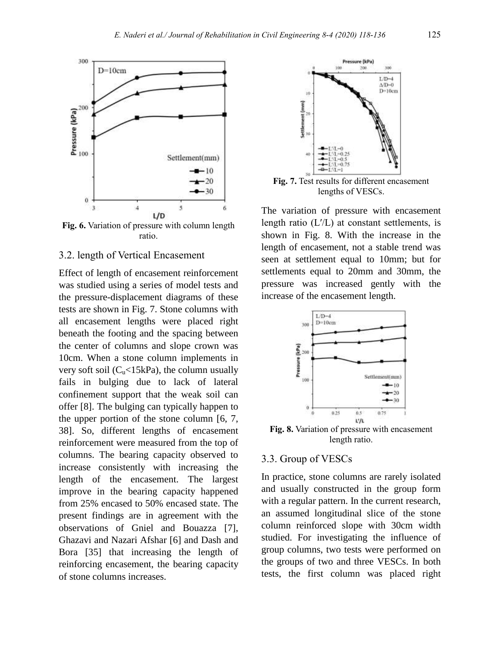

**Fig. 6.** Variation of pressure with column length ratio.

### 3.2. length of Vertical Encasement

Effect of length of encasement reinforcement was studied using a series of model tests and the pressure-displacement diagrams of these tests are shown in Fig. 7. Stone columns with all encasement lengths were placed right beneath the footing and the spacing between the center of columns and slope crown was 10cm. When a stone column implements in very soft soil ( $C<sub>u</sub> < 15kPa$ ), the column usually fails in bulging due to lack of lateral confinement support that the weak soil can offer [8]. The bulging can typically happen to the upper portion of the stone column [6, 7, 38]. So, different lengths of encasement reinforcement were measured from the top of columns. The bearing capacity observed to increase consistently with increasing the length of the encasement. The largest improve in the bearing capacity happened from 25% encased to 50% encased state. The present findings are in agreement with the observations of Gniel and Bouazza [7], Ghazavi and Nazari Afshar [6] and Dash and Bora [35] that increasing the length of reinforcing encasement, the bearing capacity of stone columns increases.



**Fig. 7.** Test results for different encasement lengths of VESCs.

The variation of pressure with encasement length ratio  $(L'/L)$  at constant settlements, is shown in Fig. 8. With the increase in the length of encasement, not a stable trend was seen at settlement equal to 10mm; but for settlements equal to 20mm and 30mm, the pressure was increased gently with the increase of the encasement length.



**Fig. 8.** Variation of pressure with encasement length ratio.

#### 3.3. Group of VESCs

In practice, stone columns are rarely isolated and usually constructed in the group form with a regular pattern. In the current research, an assumed longitudinal slice of the stone column reinforced slope with 30cm width studied. For investigating the influence of group columns, two tests were performed on the groups of two and three VESCs. In both tests, the first column was placed right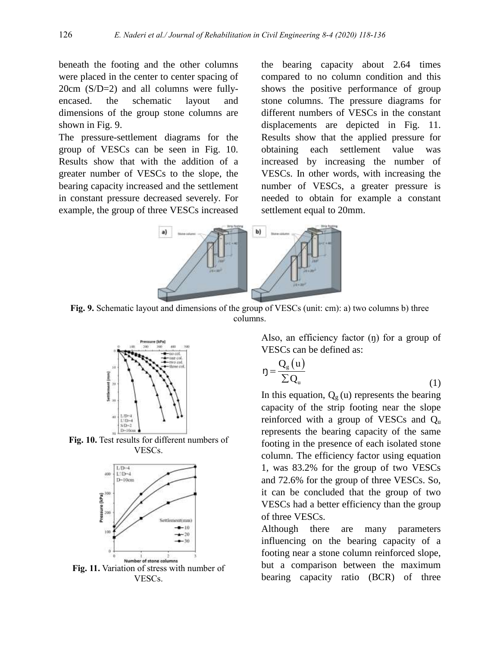beneath the footing and the other columns were placed in the center to center spacing of 20cm (S/D=2) and all columns were fullyencased. the schematic layout and dimensions of the group stone columns are shown in Fig. 9.

The pressure-settlement diagrams for the group of VESCs can be seen in Fig. 10. Results show that with the addition of a greater number of VESCs to the slope, the bearing capacity increased and the settlement in constant pressure decreased severely. For example, the group of three VESCs increased

the bearing capacity about 2.64 times compared to no column condition and this shows the positive performance of group stone columns. The pressure diagrams for different numbers of VESCs in the constant displacements are depicted in Fig. 11. Results show that the applied pressure for obtaining each settlement value was increased by increasing the number of VESCs. In other words, with increasing the number of VESCs, a greater pressure is needed to obtain for example a constant settlement equal to 20mm.



**Fig. 9.** Schematic layout and dimensions of the group of VESCs (unit: cm): a) two columns b) three columns.



**Fig. 10.** Test results for different numbers of VESCs.



**Fig. 11.** Variation of stress with number of VESCs.

Also, an efficiency factor (n) for a group of VESCs can be defined as:

$$
\eta = \frac{Q_g(u)}{\sum Q_u} \tag{1}
$$

In this equation,  $Q_g(u)$  represents the bearing capacity of the strip footing near the slope reinforced with a group of VESCs and  $Q_{\text{u}}$ represents the bearing capacity of the same footing in the presence of each isolated stone column. The efficiency factor using equation 1, was 83.2% for the group of two VESCs and 72.6% for the group of three VESCs. So, it can be concluded that the group of two VESCs had a better efficiency than the group of three VESCs.

Although there are many parameters influencing on the bearing capacity of a footing near a stone column reinforced slope, but a comparison between the maximum bearing capacity ratio (BCR) of three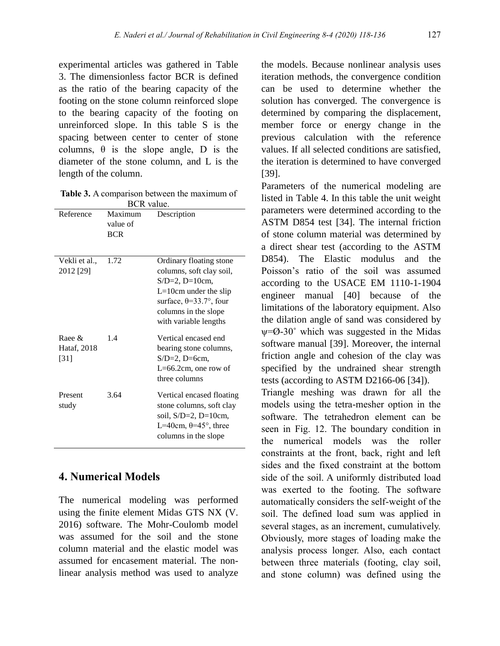experimental articles was gathered in Table 3. The dimensionless factor BCR is defined as the ratio of the bearing capacity of the footing on the stone column reinforced slope to the bearing capacity of the footing on unreinforced slope. In this table S is the spacing between center to center of stone columns,  $\theta$  is the slope angle, D is the diameter of the stone column, and L is the length of the column.

**Table 3.** A comparison between the maximum of  $DCD = 1$ 

|                                    | DUR Value.                        |                                                                                                                                                                                             |
|------------------------------------|-----------------------------------|---------------------------------------------------------------------------------------------------------------------------------------------------------------------------------------------|
| Reference                          | Maximum<br>value of<br><b>BCR</b> | Description                                                                                                                                                                                 |
| Vekli et al.,<br>2012 [29]         | 1.72                              | Ordinary floating stone<br>columns, soft clay soil,<br>$S/D=2$ , $D=10cm$ ,<br>$L=10cm$ under the slip<br>surface, $\theta = 33.7$ °, four<br>columns in the slope<br>with variable lengths |
| Raee $\&$<br>Hataf, 2018<br>$[31]$ | 1.4                               | Vertical encased end<br>bearing stone columns,<br>$S/D=2$ , $D=6cm$ ,<br>L=66.2cm, one row of<br>three columns                                                                              |
| Present<br>study                   | 3.64                              | Vertical encased floating<br>stone columns, soft clay<br>soil, $S/D=2$ , $D=10cm$ ,<br>L=40cm, $\theta$ =45°, three<br>columns in the slope                                                 |

# **4. Numerical Models**

The numerical modeling was performed using the finite element Midas GTS NX (V. 2016) software. The Mohr-Coulomb model was assumed for the soil and the stone column material and the elastic model was assumed for encasement material. The nonlinear analysis method was used to analyze

the models. Because nonlinear analysis uses iteration methods, the convergence condition can be used to determine whether the solution has converged. The convergence is determined by comparing the displacement, member force or energy change in the previous calculation with the reference values. If all selected conditions are satisfied, the iteration is determined to have converged [39].

Parameters of the numerical modeling are listed in Table 4. In this table the unit weight parameters were determined according to the ASTM D854 test [34]. The internal friction of stone column material was determined by a direct shear test (according to the ASTM D854). The Elastic modulus and the Poisson's ratio of the soil was assumed according to the USACE EM 1110-1-1904 engineer manual [40] because of the limitations of the laboratory equipment. Also the dilation angle of sand was considered by  $\psi$ = $\varnothing$ -30° which was suggested in the Midas software manual [39]. Moreover, the internal friction angle and cohesion of the clay was specified by the undrained shear strength tests (according to ASTM D2166-06 [34]).

Triangle meshing was drawn for all the models using the tetra-mesher option in the software. The tetrahedron element can be seen in Fig. 12. The boundary condition in the numerical models was the roller constraints at the front, back, right and left sides and the fixed constraint at the bottom side of the soil. A uniformly distributed load was exerted to the footing. The software automatically considers the self-weight of the soil. The defined load sum was applied in several stages, as an increment, cumulatively. Obviously, more stages of loading make the analysis process longer. Also, each contact between three materials (footing, clay soil, and stone column) was defined using the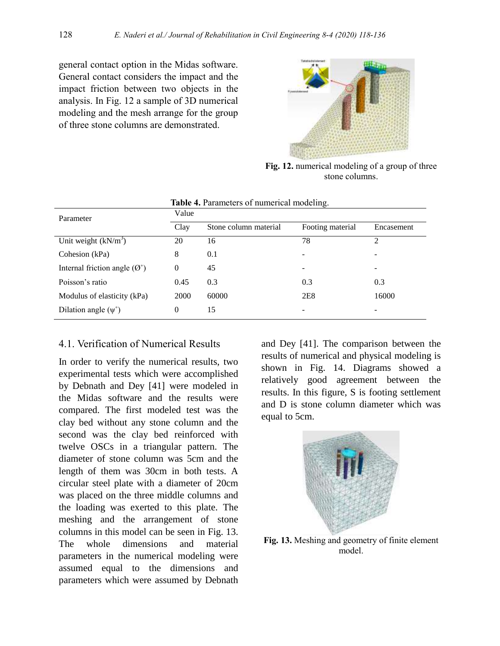general contact option in the Midas software. General contact considers the impact and the impact friction between two objects in the analysis. In Fig. 12 a sample of 3D numerical modeling and the mesh arrange for the group of three stone columns are demonstrated.



**Fig. 12.** numerical modeling of a group of three stone columns.

|          | we are all the control of the state of the control of the set of the set of the set of the set of the set of the set of the set of the set of the set of the set of the set of the set of the set of the set of the set of the |                  |                |  |  |  |  |
|----------|--------------------------------------------------------------------------------------------------------------------------------------------------------------------------------------------------------------------------------|------------------|----------------|--|--|--|--|
| Value    |                                                                                                                                                                                                                                |                  |                |  |  |  |  |
| Clay     | Stone column material                                                                                                                                                                                                          | Footing material | Encasement     |  |  |  |  |
| 20       | 16                                                                                                                                                                                                                             | 78               | $\mathfrak{D}$ |  |  |  |  |
| 8        | 0.1                                                                                                                                                                                                                            |                  |                |  |  |  |  |
| 0        | 45                                                                                                                                                                                                                             |                  | ۰              |  |  |  |  |
| 0.45     | 0.3                                                                                                                                                                                                                            | 0.3              | 0.3            |  |  |  |  |
| 2000     | 60000                                                                                                                                                                                                                          | 2E8              | 16000          |  |  |  |  |
| $\theta$ | 15                                                                                                                                                                                                                             |                  |                |  |  |  |  |
|          |                                                                                                                                                                                                                                |                  |                |  |  |  |  |

**Table 4.** Parameters of numerical modeling.

#### 4.1. Verification of Numerical Results

In order to verify the numerical results, two experimental tests which were accomplished by Debnath and Dey [41] were modeled in the Midas software and the results were compared. The first modeled test was the clay bed without any stone column and the second was the clay bed reinforced with twelve OSCs in a triangular pattern. The diameter of stone column was 5cm and the length of them was 30cm in both tests. A circular steel plate with a diameter of 20cm was placed on the three middle columns and the loading was exerted to this plate. The meshing and the arrangement of stone columns in this model can be seen in Fig. 13. The whole dimensions and material parameters in the numerical modeling were assumed equal to the dimensions and parameters which were assumed by Debnath

and Dey [41]. The comparison between the results of numerical and physical modeling is shown in Fig. 14. Diagrams showed a relatively good agreement between the results. In this figure, S is footing settlement and D is stone column diameter which was equal to 5cm.



**Fig. 13.** Meshing and geometry of finite element model.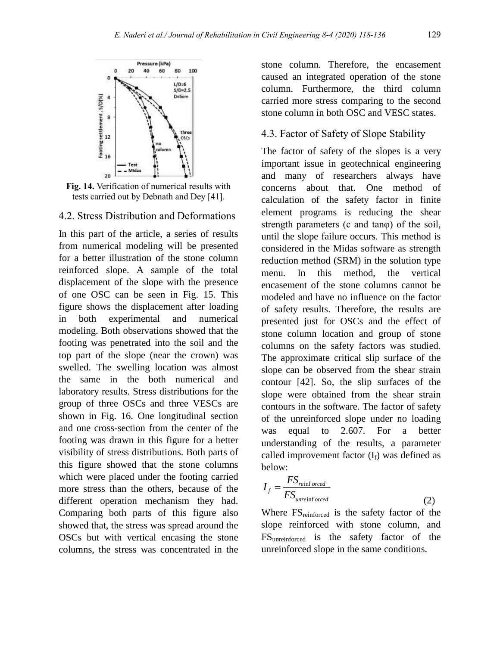

**Fig. 14.** Verification of numerical results with tests carried out by Debnath and Dey [41].

#### 4.2. Stress Distribution and Deformations

In this part of the article, a series of results from numerical modeling will be presented for a better illustration of the stone column reinforced slope. A sample of the total displacement of the slope with the presence of one OSC can be seen in Fig. 15. This figure shows the displacement after loading in both experimental and numerical modeling. Both observations showed that the footing was penetrated into the soil and the top part of the slope (near the crown) was swelled. The swelling location was almost the same in the both numerical and laboratory results. Stress distributions for the group of three OSCs and three VESCs are shown in Fig. 16. One longitudinal section and one cross-section from the center of the footing was drawn in this figure for a better visibility of stress distributions. Both parts of this figure showed that the stone columns which were placed under the footing carried more stress than the others, because of the different operation mechanism they had. Comparing both parts of this figure also showed that, the stress was spread around the OSCs but with vertical encasing the stone columns, the stress was concentrated in the

stone column. Therefore, the encasement caused an integrated operation of the stone column. Furthermore, the third column carried more stress comparing to the second stone column in both OSC and VESC states.

### 4.3. Factor of Safety of Slope Stability

The factor of safety of the slopes is a very important issue in geotechnical engineering and many of researchers always have concerns about that. One method of calculation of the safety factor in finite element programs is reducing the shear strength parameters (c and tanφ) of the soil, until the slope failure occurs. This method is considered in the Midas software as strength reduction method (SRM) in the solution type menu. In this method, the vertical encasement of the stone columns cannot be modeled and have no influence on the factor of safety results. Therefore, the results are presented just for OSCs and the effect of stone column location and group of stone columns on the safety factors was studied. The approximate critical slip surface of the slope can be observed from the shear strain contour [42]. So, the slip surfaces of the slope were obtained from the shear strain contours in the software. The factor of safety of the unreinforced slope under no loading was equal to 2.607. For a better understanding of the results, a parameter called improvement factor  $(I_f)$  was defined as below:

$$
I_f = \frac{FS_{reinforced}}{FS_{unreinforced}} \tag{2}
$$

Where  $FS_{reinforced}$  is the safety factor of the slope reinforced with stone column, and FSunreinforced is the safety factor of the unreinforced slope in the same conditions.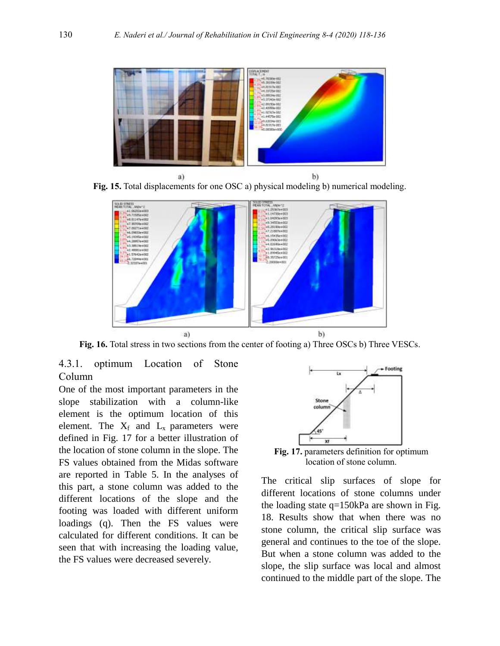

Fig. 15. Total displacements for one OSC a) physical modeling b) numerical modeling.



**Fig. 16.** Total stress in two sections from the center of footing a) Three OSCs b) Three VESCs.

4.3.1. optimum Location of Stone Column

One of the most important parameters in the slope stabilization with a column-like element is the optimum location of this element. The  $X_f$  and  $L_x$  parameters were defined in Fig. 17 for a better illustration of the location of stone column in the slope. The FS values obtained from the Midas software are reported in Table 5. In the analyses of this part, a stone column was added to the different locations of the slope and the footing was loaded with different uniform loadings (q). Then the FS values were calculated for different conditions. It can be seen that with increasing the loading value, the FS values were decreased severely.



**Fig. 17.** parameters definition for optimum location of stone column.

The critical slip surfaces of slope for different locations of stone columns under the loading state q=150kPa are shown in Fig. 18. Results show that when there was no stone column, the critical slip surface was general and continues to the toe of the slope. But when a stone column was added to the slope, the slip surface was local and almost continued to the middle part of the slope. The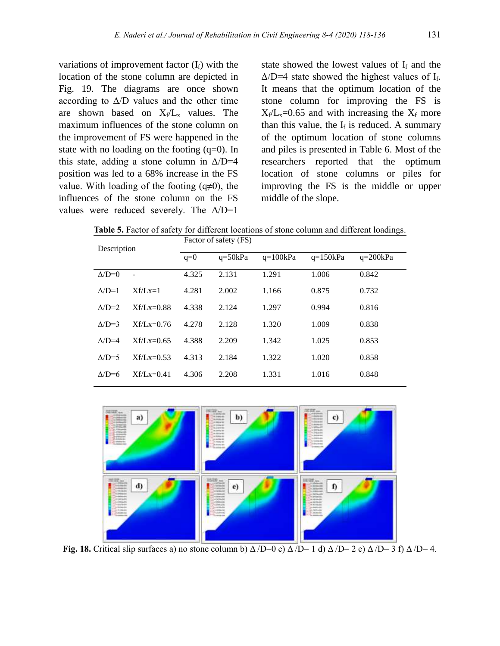variations of improvement factor  $(I_f)$  with the location of the stone column are depicted in Fig. 19. The diagrams are once shown according to  $\Delta/D$  values and the other time are shown based on  $X_f/L_x$  values. The maximum influences of the stone column on the improvement of FS were happened in the state with no loading on the footing  $(q=0)$ . In this state, adding a stone column in  $\Delta/D=4$ position was led to a 68% increase in the FS value. With loading of the footing  $(q\neq 0)$ , the influences of the stone column on the FS values were reduced severely. The  $\Delta/D=1$ 

state showed the lowest values of  $I_f$  and the  $\Delta/D=4$  state showed the highest values of I<sub>f</sub>. It means that the optimum location of the stone column for improving the FS is  $X_f/L_x=0.65$  and with increasing the  $X_f$  more than this value, the  $I_f$  is reduced. A summary of the optimum location of stone columns and piles is presented in Table 6. Most of the researchers reported that the optimum location of stone columns or piles for improving the FS is the middle or upper middle of the slope.

**Table 5.** Factor of safety for different locations of stone column and different loadings.

| Description     |                | Factor of safety (FS) |             |            |            |            |  |  |
|-----------------|----------------|-----------------------|-------------|------------|------------|------------|--|--|
|                 |                | $q=0$                 | $q = 50kPa$ | $q=100kPa$ | $q=150kPa$ | $q=200kPa$ |  |  |
| $\triangle/D=0$ | $\blacksquare$ | 4.325                 | 2.131       | 1.291      | 1.006      | 0.842      |  |  |
| $\triangle/D=1$ | $Xf/Lx=1$      | 4.281                 | 2.002       | 1.166      | 0.875      | 0.732      |  |  |
| $\Lambda/D=2$   | $Xf/I x=0.88$  | 4.338                 | 2.124       | 1.297      | 0.994      | 0.816      |  |  |
| $\triangle/D=3$ | $Xf/Lx=0.76$   | 4.278                 | 2.128       | 1.320      | 1.009      | 0.838      |  |  |
| $\Lambda/D=4$   | $Xf/Lx=0.65$   | 4.388                 | 2.209       | 1.342      | 1.025      | 0.853      |  |  |
| $\triangle/D=5$ | $Xf/Lx=0.53$   | 4.313                 | 2.184       | 1.322      | 1.020      | 0.858      |  |  |
| $\Lambda/D=6$   | $Xf/Lx=0.41$   | 4.306                 | 2.208       | 1.331      | 1.016      | 0.848      |  |  |



**Fig. 18.** Critical slip surfaces a) no stone column b)  $\Delta/D=0$  c)  $\Delta/D=1$  d)  $\Delta/D=2$  e)  $\Delta/D=3$  f)  $\Delta/D=4$ .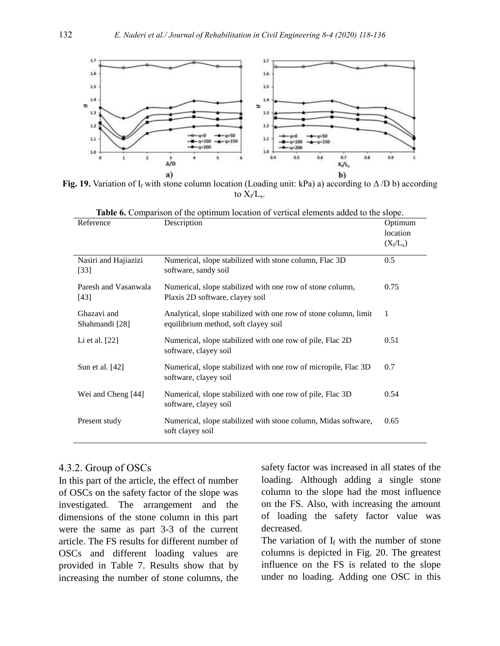

**Fig. 19.** Variation of I<sub>f</sub> with stone column location (Loading unit: kPa) a) according to  $\Delta/D$  b) according to  $X_f/L_x$ .

| Reference                      | Description                                                                                              | Optimum<br>location<br>$(X_f/L_x)$ |
|--------------------------------|----------------------------------------------------------------------------------------------------------|------------------------------------|
| Nasiri and Hajiazizi<br>$[33]$ | Numerical, slope stabilized with stone column, Flac 3D<br>software, sandy soil                           | 0.5                                |
| Paresh and Vasanwala<br>$[43]$ | Numerical, slope stabilized with one row of stone column,<br>Plaxis 2D software, clayey soil             | 0.75                               |
| Ghazavi and<br>Shahmandi [28]  | Analytical, slope stabilized with one row of stone column, limit<br>equilibrium method, soft clayey soil | 1                                  |
| Li et al. [22]                 | Numerical, slope stabilized with one row of pile, Flac 2D<br>software, clayey soil                       | 0.51                               |
| Sun et al. [42]                | Numerical, slope stabilized with one row of micropile, Flac 3D<br>software, clayey soil                  | 0.7                                |
| Wei and Cheng [44]             | Numerical, slope stabilized with one row of pile, Flac 3D<br>software, clayey soil                       | 0.54                               |
| Present study                  | Numerical, slope stabilized with stone column, Midas software,<br>soft clayey soil                       | 0.65                               |

|          | <b>Table 6.</b> Comparison of the optimum location of vertical elements added to the slope. |            |  |  |  |                  |
|----------|---------------------------------------------------------------------------------------------|------------|--|--|--|------------------|
| $\cdots$ |                                                                                             | Docomption |  |  |  | $Q_{\text{min}}$ |

#### 4.3.2. Group of OSCs

In this part of the article, the effect of number of OSCs on the safety factor of the slope was investigated. The arrangement and the dimensions of the stone column in this part were the same as part 3-3 of the current article. The FS results for different number of OSCs and different loading values are provided in Table 7. Results show that by increasing the number of stone columns, the safety factor was increased in all states of the loading. Although adding a single stone column to the slope had the most influence on the FS. Also, with increasing the amount of loading the safety factor value was decreased.

The variation of  $I_f$  with the number of stone columns is depicted in Fig. 20. The greatest influence on the FS is related to the slope under no loading. Adding one OSC in this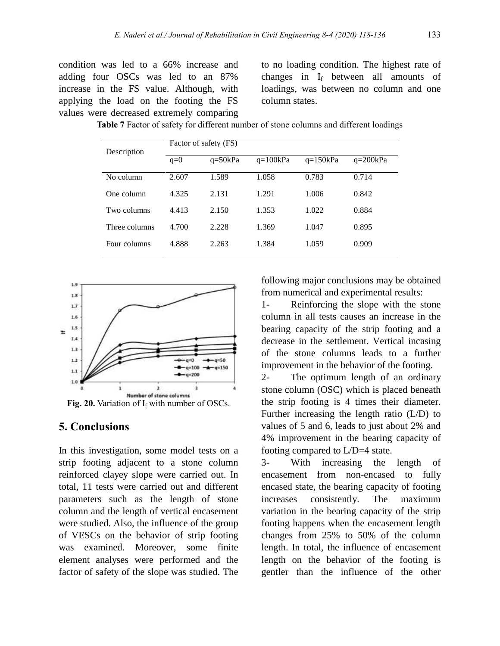condition was led to a 66% increase and adding four OSCs was led to an 87% increase in the FS value. Although, with applying the load on the footing the FS values were decreased extremely comparing

to no loading condition. The highest rate of changes in I<sup>f</sup> between all amounts of loadings, was between no column and one column states.

|               | Factor of safety (FS) |             |            |            |            |  |  |  |  |
|---------------|-----------------------|-------------|------------|------------|------------|--|--|--|--|
| Description   | $q=0$                 | $q = 50kPa$ | $q=100kPa$ | $q=150kPa$ | $q=200kPa$ |  |  |  |  |
| No column     | 2.607                 | 1.589       | 1.058      | 0.783      | 0.714      |  |  |  |  |
| One column    | 4.325                 | 2.131       | 1.291      | 1.006      | 0.842      |  |  |  |  |
| Two columns   | 4.413                 | 2.150       | 1.353      | 1.022      | 0.884      |  |  |  |  |
| Three columns | 4.700                 | 2.228       | 1.369      | 1.047      | 0.895      |  |  |  |  |
| Four columns  | 4.888                 | 2.263       | 1.384      | 1.059      | 0.909      |  |  |  |  |

**Table 7** Factor of safety for different number of stone columns and different loadings



**Fig. 20.** Variation of  $I_f$  with number of OSCs.

## **5. Conclusions**

In this investigation, some model tests on a strip footing adjacent to a stone column reinforced clayey slope were carried out. In total, 11 tests were carried out and different parameters such as the length of stone column and the length of vertical encasement were studied. Also, the influence of the group of VESCs on the behavior of strip footing was examined. Moreover, some finite element analyses were performed and the factor of safety of the slope was studied. The

following major conclusions may be obtained from numerical and experimental results:

1- Reinforcing the slope with the stone column in all tests causes an increase in the bearing capacity of the strip footing and a decrease in the settlement. Vertical incasing of the stone columns leads to a further improvement in the behavior of the footing.

2- The optimum length of an ordinary stone column (OSC) which is placed beneath the strip footing is 4 times their diameter. Further increasing the length ratio (L/D) to values of 5 and 6, leads to just about 2% and 4% improvement in the bearing capacity of footing compared to L/D=4 state.

3- With increasing the length of encasement from non-encased to fully encased state, the bearing capacity of footing increases consistently. The maximum variation in the bearing capacity of the strip footing happens when the encasement length changes from 25% to 50% of the column length. In total, the influence of encasement length on the behavior of the footing is gentler than the influence of the other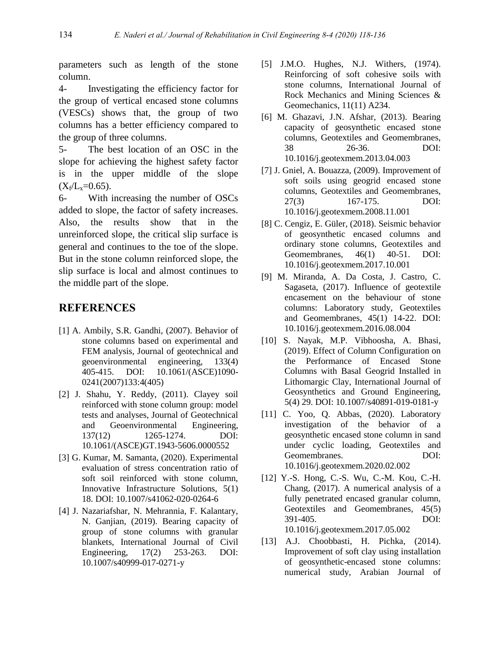parameters such as length of the stone column.

4- Investigating the efficiency factor for the group of vertical encased stone columns (VESCs) shows that, the group of two columns has a better efficiency compared to the group of three columns.

5- The best location of an OSC in the slope for achieving the highest safety factor is in the upper middle of the slope  $(X_f/L_x=0.65)$ .

6- With increasing the number of OSCs added to slope, the factor of safety increases. Also, the results show that in the unreinforced slope, the critical slip surface is general and continues to the toe of the slope. But in the stone column reinforced slope, the slip surface is local and almost continues to the middle part of the slope.

# **REFERENCES**

- [1] A. Ambily, S.R. Gandhi, (2007). Behavior of stone columns based on experimental and FEM analysis, Journal of geotechnical and geoenvironmental engineering, 133(4) 405-415. DOI: 10.1061/(ASCE)1090- 0241(2007)133:4(405)
- [2] J. Shahu, Y. Reddy, (2011). Clayey soil reinforced with stone column group: model tests and analyses, Journal of Geotechnical and Geoenvironmental Engineering, 137(12) 1265-1274. DOI: 10.1061/(ASCE)GT.1943-5606.0000552
- [3] G. Kumar, M. Samanta, (2020). Experimental evaluation of stress concentration ratio of soft soil reinforced with stone column, Innovative Infrastructure Solutions, 5(1) 18. DOI: 10.1007/s41062-020-0264-6
- [4] J. Nazariafshar, N. Mehrannia, F. Kalantary, N. Ganjian, (2019). Bearing capacity of group of stone columns with granular blankets, International Journal of Civil Engineering, 17(2) 253-263. DOI: 10.1007/s40999-017-0271-y
- [5] J.M.O. Hughes, N.J. Withers, (1974). Reinforcing of soft cohesive soils with stone columns, International Journal of Rock Mechanics and Mining Sciences & Geomechanics, 11(11) A234.
- [6] M. Ghazavi, J.N. Afshar, (2013). Bearing capacity of geosynthetic encased stone columns, Geotextiles and Geomembranes, 38 26-36. DOI: 10.1016/j.geotexmem.2013.04.003
- [7] J. Gniel, A. Bouazza, (2009). Improvement of soft soils using geogrid encased stone columns, Geotextiles and Geomembranes, 27(3) 167-175. DOI: 10.1016/j.geotexmem.2008.11.001
- [8] C. Cengiz, E. Güler, (2018). Seismic behavior of geosynthetic encased columns and ordinary stone columns, Geotextiles and Geomembranes, 46(1) 40-51. DOI: 10.1016/j.geotexmem.2017.10.001
- [9] M. Miranda, A. Da Costa, J. Castro, C. Sagaseta, (2017). Influence of geotextile encasement on the behaviour of stone columns: Laboratory study, Geotextiles and Geomembranes, 45(1) 14-22. DOI: 10.1016/j.geotexmem.2016.08.004
- [10] S. Nayak, M.P. Vibhoosha, A. Bhasi, (2019). Effect of Column Configuration on the Performance of Encased Stone Columns with Basal Geogrid Installed in Lithomargic Clay, International Journal of Geosynthetics and Ground Engineering, 5(4) 29. DOI: [10.1007/s40891-019-0181-y](https://doi.org/10.1007/s40891-019-0181-y)
- [11] C. Yoo, Q. Abbas, (2020). Laboratory investigation of the behavior of a geosynthetic encased stone column in sand under cyclic loading, Geotextiles and Geomembranes. DOI: [10.1016/j.geotexmem.2020.02.002](https://doi.org/10.1016/j.geotexmem.2020.02.002)
- [12] Y.-S. Hong, C.-S. Wu, C.-M. Kou, C.-H. Chang, (2017). A numerical analysis of a fully penetrated encased granular column, Geotextiles and Geomembranes, 45(5) 391-405. DOI: [10.1016/j.geotexmem.2017.05.002](https://doi.org/10.1016/j.geotexmem.2017.05.002)
- [13] A.J. Choobbasti, H. Pichka, (2014). Improvement of soft clay using installation of geosynthetic-encased stone columns: numerical study, Arabian Journal of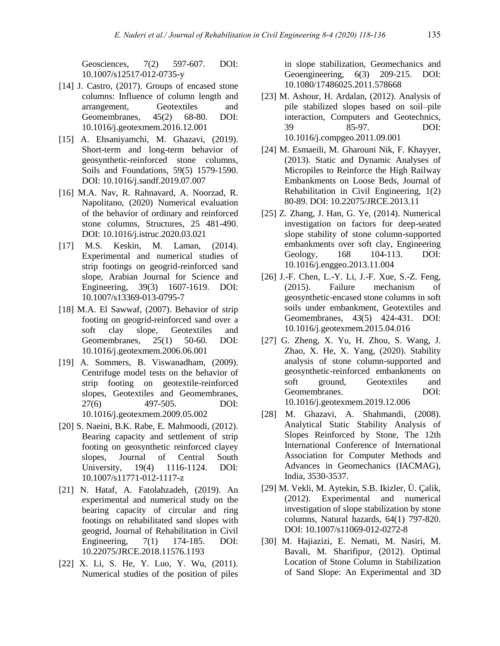Geosciences, 7(2) 597-607. DOI: [10.1007/s12517-012-0735-y](https://doi.org/10.1007/s12517-012-0735-y)

- [14] J. Castro, (2017). Groups of encased stone columns: Influence of column length and arrangement, Geotextiles and Geomembranes, 45(2) 68-80. DOI: [10.1016/j.geotexmem.2016.12.001](https://doi.org/10.1016/j.geotexmem.2016.12.001)
- [15] A. Ehsaniyamchi, M. Ghazavi, (2019). Short-term and long-term behavior of geosynthetic-reinforced stone columns, Soils and Foundations, 59(5) 1579-1590. DOI: [10.1016/j.sandf.2019.07.007](https://doi.org/10.1016/j.sandf.2019.07.007)
- [16] M.A. Nav, R. Rahnavard, A. Noorzad, R. Napolitano, (2020) Numerical evaluation of the behavior of ordinary and reinforced stone columns, Structures, 25 481-490. DOI: 10.1016/j.istruc.2020.03.021
- [17] M.S. Keskin, M. Laman, (2014). Experimental and numerical studies of strip footings on geogrid-reinforced sand slope, Arabian Journal for Science and Engineering, 39(3) 1607-1619. DOI: [10.1007/s13369-013-0795-7](https://doi.org/10.1007/s13369-013-0795-7)
- [18] M.A. El Sawwaf, (2007). Behavior of strip footing on geogrid-reinforced sand over a soft clay slope, Geotextiles and Geomembranes, 25(1) 50-60. DOI: [10.1016/j.geotexmem.2006.06.001](https://doi.org/10.1016/j.geotexmem.2006.06.001)
- [19] A. Sommers, B. Viswanadham, (2009). Centrifuge model tests on the behavior of strip footing on geotextile-reinforced slopes, Geotextiles and Geomembranes, 27(6) 497-505. DOI: [10.1016/j.geotexmem.2009.05.002](https://doi.org/10.1016/j.geotexmem.2009.05.002)
- [20] S. Naeini, B.K. Rabe, E. Mahmoodi, (2012). Bearing capacity and settlement of strip footing on geosynthetic reinforced clayey slopes, Journal of Central South University, 19(4) 1116-1124. DOI: [10.1007/s11771-012-1117-z](https://doi.org/10.1007/s11771-012-1117-z)
- [21] N. Hataf, A. Fatolahzadeh, (2019). An experimental and numerical study on the bearing capacity of circular and ring footings on rehabilitated sand slopes with geogrid, Journal of Rehabilitation in Civil Engineering, 7(1) 174-185. DOI: [10.22075/JRCE.2018.11576.1193](https://dx.doi.org/10.22075/jrce.2018.11576.1193)
- [22] X. Li, S. He, Y. Luo, Y. Wu, (2011). Numerical studies of the position of piles

in slope stabilization, Geomechanics and Geoengineering, 6(3) 209-215. DOI: 10.1080/17486025.2011.578668

- [23] M. Ashour, H. Ardalan, (2012). Analysis of pile stabilized slopes based on soil–pile interaction, Computers and Geotechnics, 39 85-97. DOI: [10.1016/j.compgeo.2011.09.001](https://www.researchgate.net/deref/http%3A%2F%2Fdx.doi.org%2F10.1016%2Fj.compgeo.2011.09.001)
- [24] M. Esmaeili, M. Gharouni Nik, F. Khayyer, (2013). Static and Dynamic Analyses of Micropiles to Reinforce the High Railway Embankments on Loose Beds, Journal of Rehabilitation in Civil Engineering, 1(2) 80-89. DOI: [10.22075/JRCE.2013.11](https://dx.doi.org/10.22075/jrce.2013.11)
- [25] Z. Zhang, J. Han, G. Ye, (2014). Numerical investigation on factors for deep-seated slope stability of stone column-supported embankments over soft clay, Engineering Geology, 168 104-113. DOI: [10.1016/j.enggeo.2013.11.004](https://doi.org/10.1016/j.enggeo.2013.11.004)
- [26] J.-F. Chen, L.-Y. Li, J.-F. Xue, S.-Z. Feng, (2015). Failure mechanism of (2015). Failure mechanism of geosynthetic-encased stone columns in soft soils under embankment, Geotextiles and Geomembranes, 43(5) 424-431. DOI: 10.1016/j.geotexmem.2015.04.016
- [27] G. Zheng, X. Yu, H. Zhou, S. Wang, J. Zhao, X. He, X. Yang, (2020). Stability analysis of stone column-supported and geosynthetic-reinforced embankments on soft ground, Geotextiles and Geomembranes. DOI: [10.1016/j.geotexmem.2019.12.006](https://doi.org/10.1016/j.geotexmem.2019.12.006)
- [28] M. Ghazavi, A. Shahmandi, (2008). Analytical Static Stability Analysis of Slopes Reinforced by Stone, The 12th International Conference of International Association for Computer Methods and Advances in Geomechanics (IACMAG), India, 3530-3537.
- [29] M. Vekli, M. Aytekin, S.B. Ikizler, Ü. Çalik, (2012). Experimental and numerical investigation of slope stabilization by stone columns, Natural hazards, 64(1) 797-820. DOI: [10.1007/s11069-012-0272-8](https://doi.org/10.1007/s11069-012-0272-8)
- [30] M. Hajiazizi, E. Nemati, M. Nasiri, M. Bavali, M. Sharifipur, (2012). Optimal Location of Stone Column in Stabilization of Sand Slope: An Experimental and 3D